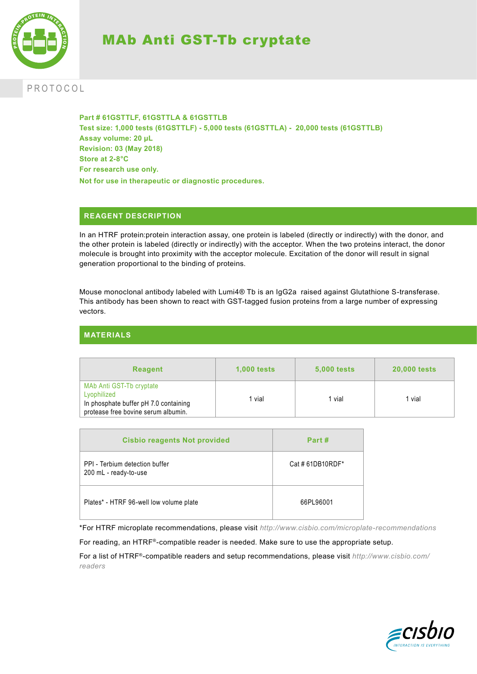

# MAb Anti GST-Tb cryptate

## PROTOCOL

**Part # 61GSTTLF, 61GSTTLA & 61GSTTLB Test size: 1,000 tests (61GSTTLF) - 5,000 tests (61GSTTLA) - 20,000 tests (61GSTTLB) Assay volume: 20 µL Revision: 03 (May 2018) Store at 2-8°C For research use only. Not for use in therapeutic or diagnostic procedures.**

## **REAGENT DESCRIPTION**

In an HTRF protein:protein interaction assay, one protein is labeled (directly or indirectly) with the donor, and the other protein is labeled (directly or indirectly) with the acceptor. When the two proteins interact, the donor molecule is brought into proximity with the acceptor molecule. Excitation of the donor will result in signal generation proportional to the binding of proteins.

Mouse monoclonal antibody labeled with Lumi4® Tb is an IgG2a raised against Glutathione S-transferase. This antibody has been shown to react with GST-tagged fusion proteins from a large number of expressing vectors.

## **MATERIALS**

| <b>Reagent</b>                                                                                                          | <b>1,000 tests</b> | <b>5,000 tests</b> | <b>20,000 tests</b> |
|-------------------------------------------------------------------------------------------------------------------------|--------------------|--------------------|---------------------|
| MAb Anti GST-Tb cryptate<br>Lyophilized<br>In phosphate buffer pH 7.0 containing<br>protease free bovine serum albumin. | l vial             | vial               | 1 vial              |

| <b>Cisbio reagents Not provided</b>                     | Part#           |
|---------------------------------------------------------|-----------------|
| PPI - Terbium detection buffer<br>200 mL - ready-to-use | Cat #61DB10RDF* |
| Plates* - HTRF 96-well low volume plate                 | 66PL96001       |

\*For HTRF microplate recommendations, please visit *http://www.cisbio.com/microplate-recommendations*

For reading, an HTRF®-compatible reader is needed. Make sure to use the appropriate setup.

For a list of HTRF®-compatible readers and setup recommendations, please visit *http://www.cisbio.com/ readers*